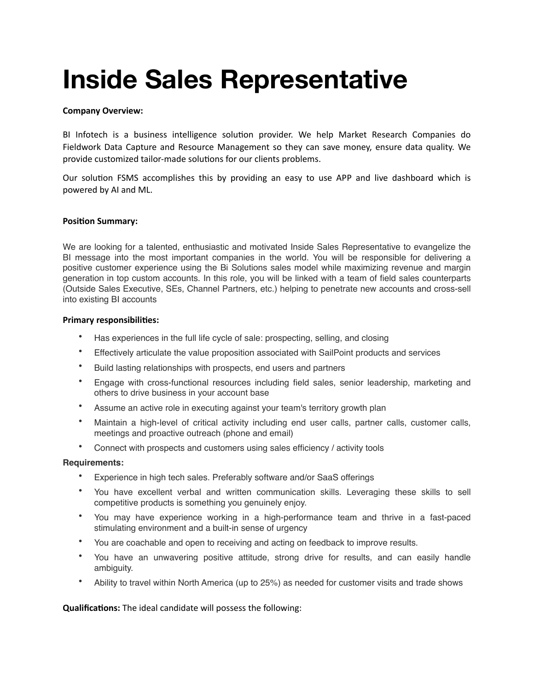# **Inside Sales Representative**

## **Company Overview:**

BI Infotech is a business intelligence solution provider. We help Market Research Companies do Fieldwork Data Capture and Resource Management so they can save money, ensure data quality. We provide customized tailor-made solutions for our clients problems.

Our solution FSMS accomplishes this by providing an easy to use APP and live dashboard which is powered by AI and ML.

### **Position Summary:**

We are looking for a talented, enthusiastic and motivated Inside Sales Representative to evangelize the BI message into the most important companies in the world. You will be responsible for delivering a positive customer experience using the Bi Solutions sales model while maximizing revenue and margin generation in top custom accounts. In this role, you will be linked with a team of field sales counterparts (Outside Sales Executive, SEs, Channel Partners, etc.) helping to penetrate new accounts and cross-sell into existing BI accounts

#### **Primary responsibilities:**

- Has experiences in the full life cycle of sale: prospecting, selling, and closing
- Effectively articulate the value proposition associated with SailPoint products and services
- Build lasting relationships with prospects, end users and partners
- Engage with cross-functional resources including field sales, senior leadership, marketing and others to drive business in your account base
- Assume an active role in executing against your team's territory growth plan
- Maintain a high-level of critical activity including end user calls, partner calls, customer calls, meetings and proactive outreach (phone and email)
- Connect with prospects and customers using sales efficiency / activity tools

### **Requirements:**

- Experience in high tech sales. Preferably software and/or SaaS offerings
- You have excellent verbal and written communication skills. Leveraging these skills to sell competitive products is something you genuinely enjoy.
- You may have experience working in a high-performance team and thrive in a fast-paced stimulating environment and a built-in sense of urgency
- You are coachable and open to receiving and acting on feedback to improve results.
- You have an unwavering positive attitude, strong drive for results, and can easily handle ambiguity.
- Ability to travel within North America (up to 25%) as needed for customer visits and trade shows

### **Qualifications:** The ideal candidate will possess the following: